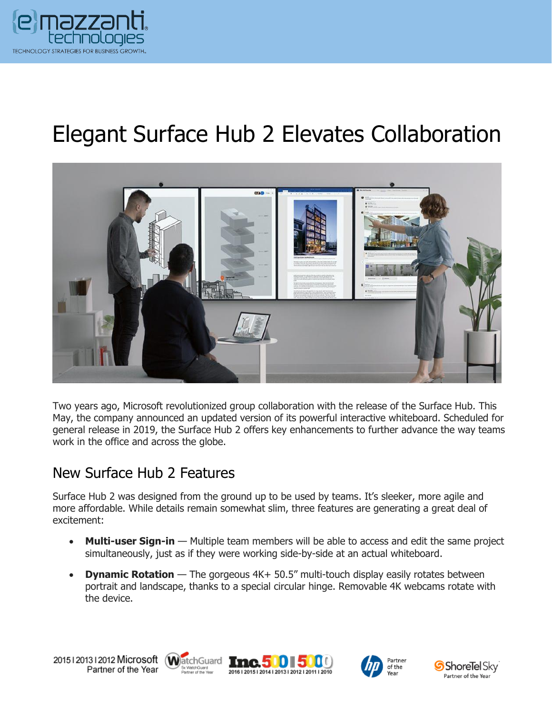

# Elegant Surface Hub 2 Elevates Collaboration



Two years ago, Microsoft revolutionized group collaboration with the release of the Surface Hub. This May, the company announced an updated version of its powerful interactive whiteboard. Scheduled for general release in 2019, the Surface Hub 2 offers key enhancements to further advance the way teams work in the office and across the globe.

#### New Surface Hub 2 Features

Surface Hub 2 was designed from the ground up to be used by teams. It's sleeker, more agile and more affordable. While details remain somewhat slim, three features are generating a great deal of excitement:

- **Multi-user Sign-in** Multiple team members will be able to access and edit the same project simultaneously, just as if they were working side-by-side at an actual whiteboard.
- **Dynamic Rotation** The gorgeous 4K+ 50.5" multi-touch display easily rotates between portrait and landscape, thanks to a special circular hinge. Removable 4K webcams rotate with the device.









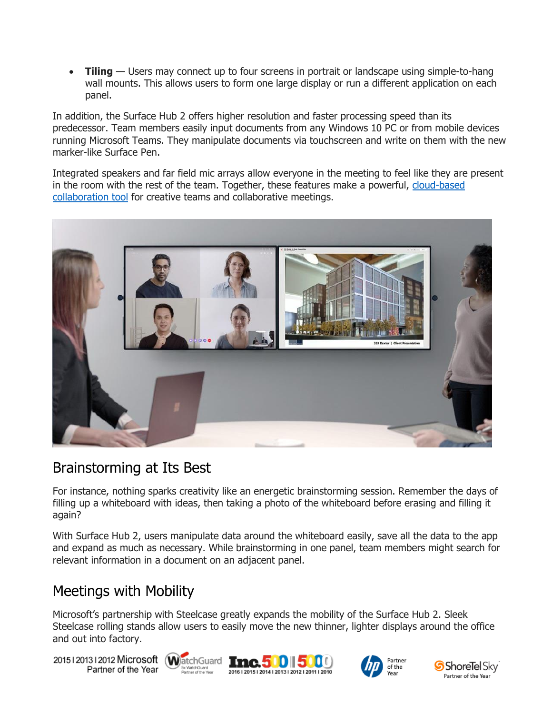• **Tiling** — Users may connect up to four screens in portrait or landscape using simple-to-hang wall mounts. This allows users to form one large display or run a different application on each panel.

In addition, the Surface Hub 2 offers higher resolution and faster processing speed than its predecessor. Team members easily input documents from any Windows 10 PC or from mobile devices running Microsoft Teams. They manipulate documents via touchscreen and write on them with the new marker-like Surface Pen.

Integrated speakers and far field mic arrays allow everyone in the meeting to feel like they are present in the room with the rest of the team. Together, these features make a powerful, [cloud-based](https://www.emazzanti.net/services/cloud-services/) collaboration tool for creative teams and collaborative meetings.



#### Brainstorming at Its Best

For instance, nothing sparks creativity like an energetic brainstorming session. Remember the days of filling up a whiteboard with ideas, then taking a photo of the whiteboard before erasing and filling it again?

With Surface Hub 2, users manipulate data around the whiteboard easily, save all the data to the app and expand as much as necessary. While brainstorming in one panel, team members might search for relevant information in a document on an adjacent panel.

#### Meetings with Mobility

Microsoft's partnership with Steelcase greatly expands the mobility of the Surface Hub 2. Sleek Steelcase rolling stands allow users to easily move the new thinner, lighter displays around the office and out into factory.

20151201312012 Microsoft WatchGuard Tnc. 500 500 Partner of the Year